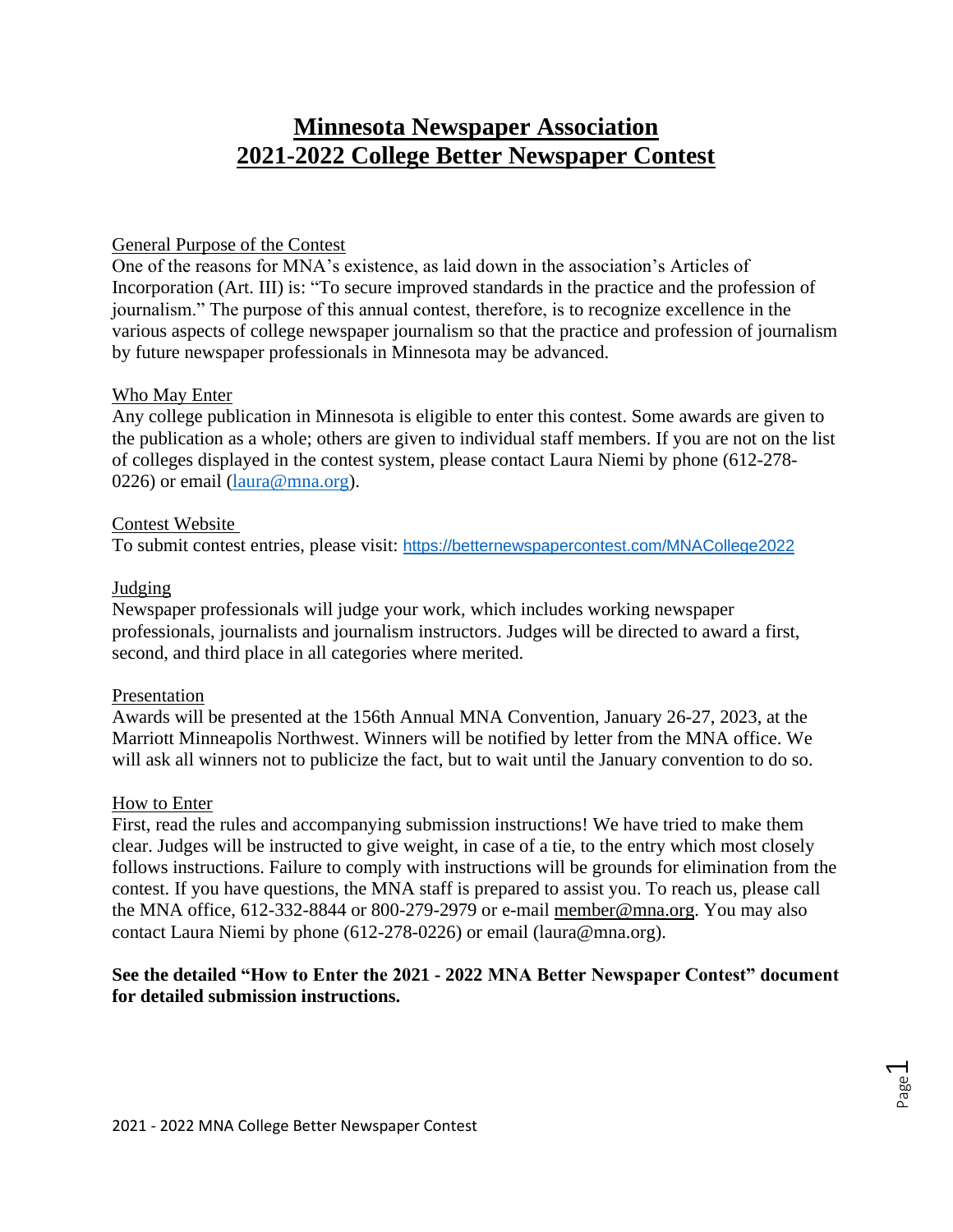# **Minnesota Newspaper Association 2021-2022 College Better Newspaper Contest**

### General Purpose of the Contest

One of the reasons for MNA's existence, as laid down in the association's Articles of Incorporation (Art. III) is: "To secure improved standards in the practice and the profession of journalism." The purpose of this annual contest, therefore, is to recognize excellence in the various aspects of college newspaper journalism so that the practice and profession of journalism by future newspaper professionals in Minnesota may be advanced.

#### Who May Enter

Any college publication in Minnesota is eligible to enter this contest. Some awards are given to the publication as a whole; others are given to individual staff members. If you are not on the list of colleges displayed in the contest system, please contact Laura Niemi by phone (612-278- 0226) or email [\(laura@mna.org\)](mailto:laura@mna.org).

### Contest Website

To submit contest entries, please visit: https://betternewspapercontest.com/MNACollege2022

## Judging

Newspaper professionals will judge your work, which includes working newspaper professionals, journalists and journalism instructors. Judges will be directed to award a first, second, and third place in all categories where merited.

## Presentation

Awards will be presented at the 156th Annual MNA Convention, January 26-27, 2023, at the Marriott Minneapolis Northwest. Winners will be notified by letter from the MNA office. We will ask all winners not to publicize the fact, but to wait until the January convention to do so.

#### How to Enter

First, read the rules and accompanying submission instructions! We have tried to make them clear. Judges will be instructed to give weight, in case of a tie, to the entry which most closely follows instructions. Failure to comply with instructions will be grounds for elimination from the contest. If you have questions, the MNA staff is prepared to assist you. To reach us, please call the MNA office, 612-332-8844 or 800-279-2979 or e-mail [member@mna.org.](mailto:member@mna.org) You may also contact Laura Niemi by phone (612-278-0226) or email (laura@mna.org).

## **See the detailed "How to Enter the 2021 - 2022 MNA Better Newspaper Contest" document for detailed submission instructions.**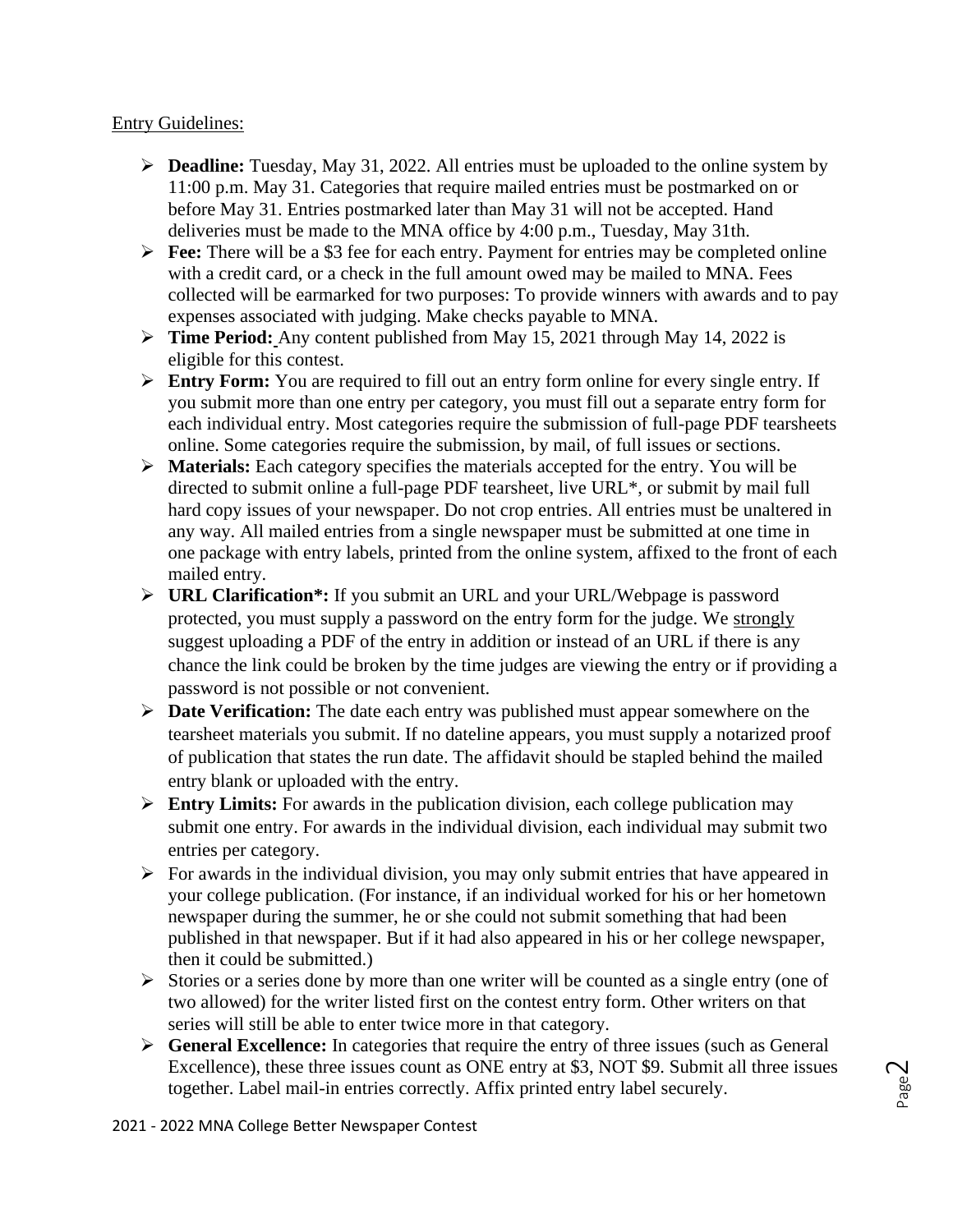### Entry Guidelines:

- ➢ **Deadline:** Tuesday, May 31, 2022. All entries must be uploaded to the online system by 11:00 p.m. May 31. Categories that require mailed entries must be postmarked on or before May 31. Entries postmarked later than May 31 will not be accepted. Hand deliveries must be made to the MNA office by 4:00 p.m., Tuesday, May 31th.
- ➢ **Fee:** There will be a \$3 fee for each entry. Payment for entries may be completed online with a credit card, or a check in the full amount owed may be mailed to MNA. Fees collected will be earmarked for two purposes: To provide winners with awards and to pay expenses associated with judging. Make checks payable to MNA.
- ➢ **Time Period:** Any content published from May 15, 2021 through May 14, 2022 is eligible for this contest.
- ➢ **Entry Form:** You are required to fill out an entry form online for every single entry. If you submit more than one entry per category, you must fill out a separate entry form for each individual entry. Most categories require the submission of full-page PDF tearsheets online. Some categories require the submission, by mail, of full issues or sections.
- ➢ **Materials:** Each category specifies the materials accepted for the entry. You will be directed to submit online a full-page PDF tearsheet, live URL\*, or submit by mail full hard copy issues of your newspaper. Do not crop entries. All entries must be unaltered in any way. All mailed entries from a single newspaper must be submitted at one time in one package with entry labels, printed from the online system, affixed to the front of each mailed entry.
- ➢ **URL Clarification\*:** If you submit an URL and your URL/Webpage is password protected, you must supply a password on the entry form for the judge. We strongly suggest uploading a PDF of the entry in addition or instead of an URL if there is any chance the link could be broken by the time judges are viewing the entry or if providing a password is not possible or not convenient.
- ➢ **Date Verification:** The date each entry was published must appear somewhere on the tearsheet materials you submit. If no dateline appears, you must supply a notarized proof of publication that states the run date. The affidavit should be stapled behind the mailed entry blank or uploaded with the entry.
- ➢ **Entry Limits:** For awards in the publication division, each college publication may submit one entry. For awards in the individual division, each individual may submit two entries per category.
- $\triangleright$  For awards in the individual division, you may only submit entries that have appeared in your college publication. (For instance, if an individual worked for his or her hometown newspaper during the summer, he or she could not submit something that had been published in that newspaper. But if it had also appeared in his or her college newspaper, then it could be submitted.)
- ➢ Stories or a series done by more than one writer will be counted as a single entry (one of two allowed) for the writer listed first on the contest entry form. Other writers on that series will still be able to enter twice more in that category.
- ➢ **General Excellence:** In categories that require the entry of three issues (such as General Excellence), these three issues count as ONE entry at \$3, NOT \$9. Submit all three issues together. Label mail-in entries correctly. Affix printed entry label securely.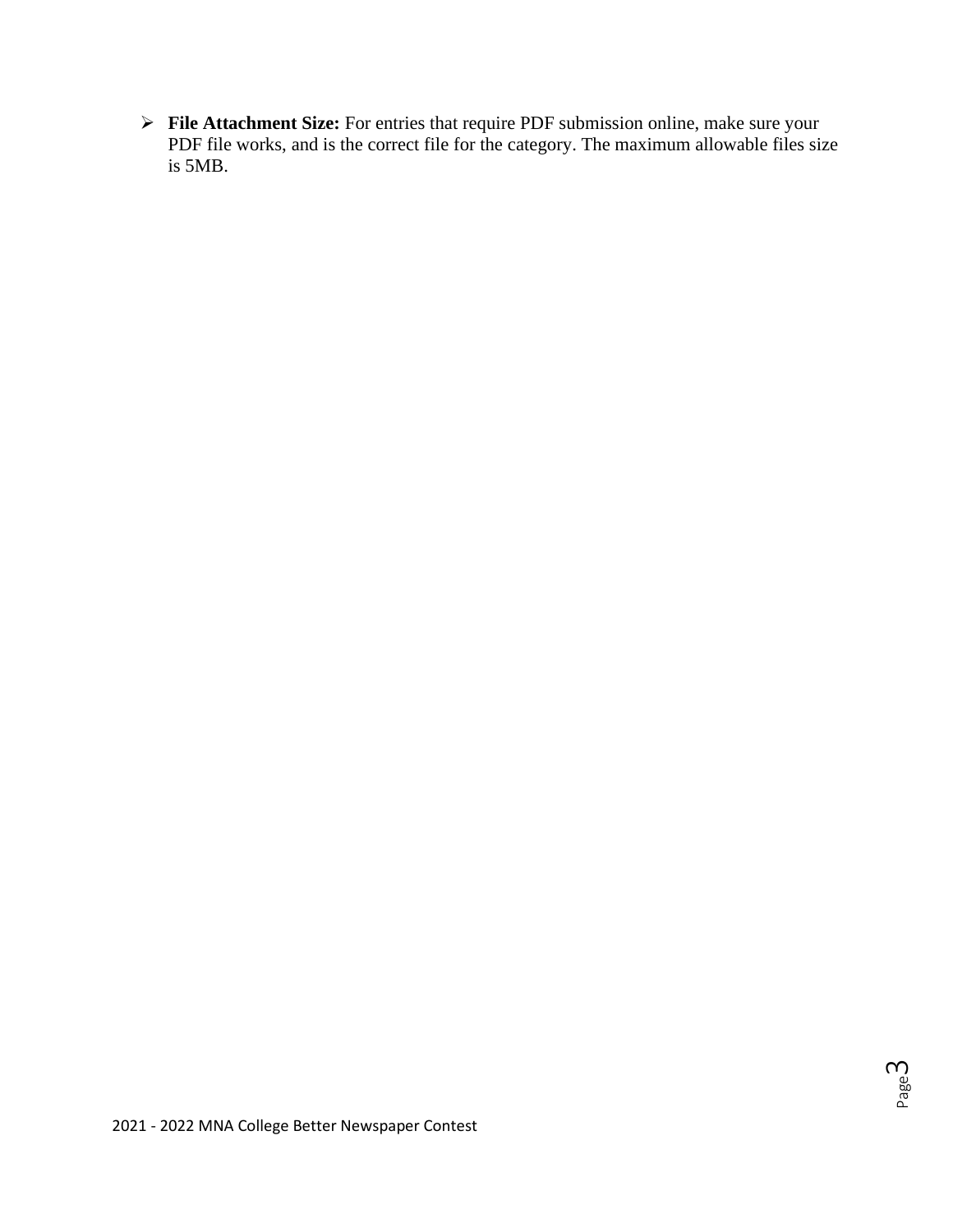➢ **File Attachment Size:** For entries that require PDF submission online, make sure your PDF file works, and is the correct file for the category. The maximum allowable files size is 5MB.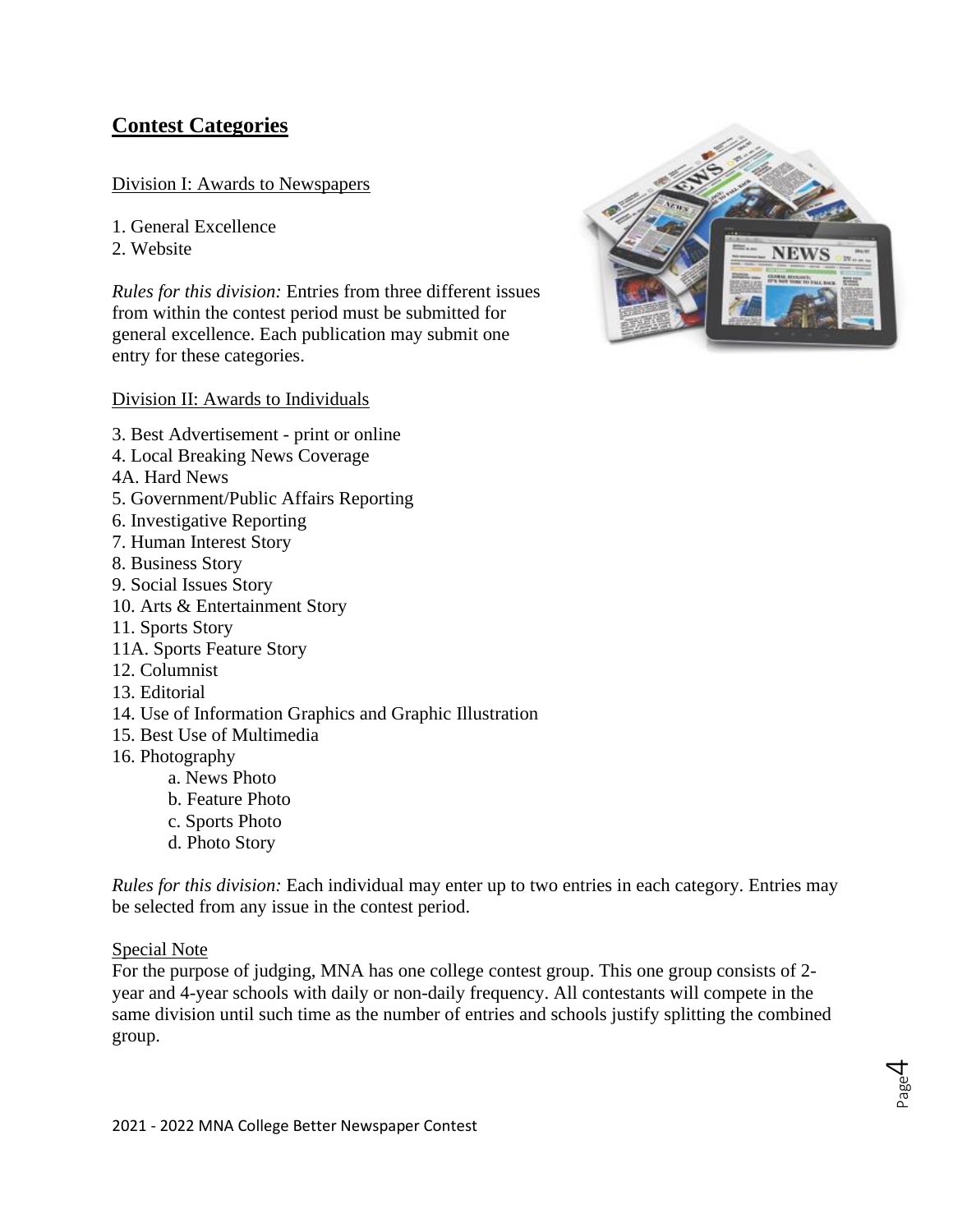## **Contest Categories**

### Division I: Awards to Newspapers

1. General Excellence

2. Website

*Rules for this division:* Entries from three different issues from within the contest period must be submitted for general excellence. Each publication may submit one entry for these categories.

#### Division II: Awards to Individuals

- 3. Best Advertisement print or online
- 4. Local Breaking News Coverage
- 4A. Hard News
- 5. Government/Public Affairs Reporting
- 6. Investigative Reporting
- 7. Human Interest Story
- 8. Business Story
- 9. Social Issues Story
- 10. Arts & Entertainment Story
- 11. Sports Story
- 11A. Sports Feature Story
- 12. Columnist
- 13. Editorial
- 14. Use of Information Graphics and Graphic Illustration
- 15. Best Use of Multimedia
- 16. Photography
	- a. News Photo
	- b. Feature Photo
	- c. Sports Photo
	- d. Photo Story

*Rules for this division:* Each individual may enter up to two entries in each category. Entries may be selected from any issue in the contest period.

#### Special Note

For the purpose of judging, MNA has one college contest group. This one group consists of 2 year and 4-year schools with daily or non-daily frequency. All contestants will compete in the same division until such time as the number of entries and schools justify splitting the combined group.



Page 4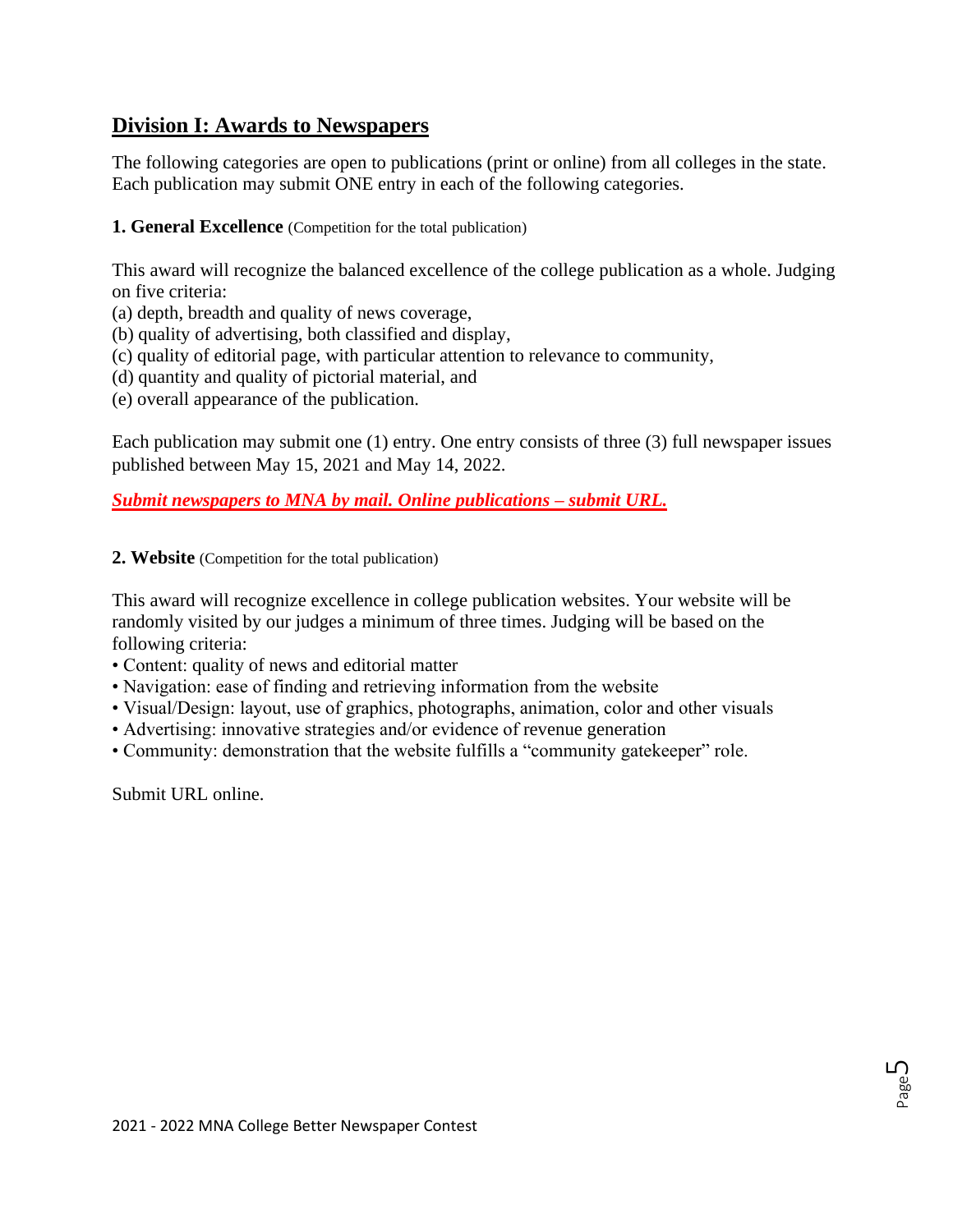## **Division I: Awards to Newspapers**

The following categories are open to publications (print or online) from all colleges in the state. Each publication may submit ONE entry in each of the following categories.

**1. General Excellence** (Competition for the total publication)

This award will recognize the balanced excellence of the college publication as a whole. Judging on five criteria:

- (a) depth, breadth and quality of news coverage,
- (b) quality of advertising, both classified and display,
- (c) quality of editorial page, with particular attention to relevance to community,
- (d) quantity and quality of pictorial material, and
- (e) overall appearance of the publication.

Each publication may submit one (1) entry. One entry consists of three (3) full newspaper issues published between May 15, 2021 and May 14, 2022.

*Submit newspapers to MNA by mail. Online publications – submit URL.*

**2. Website** (Competition for the total publication)

This award will recognize excellence in college publication websites. Your website will be randomly visited by our judges a minimum of three times. Judging will be based on the following criteria:

- Content: quality of news and editorial matter
- Navigation: ease of finding and retrieving information from the website
- Visual/Design: layout, use of graphics, photographs, animation, color and other visuals
- Advertising: innovative strategies and/or evidence of revenue generation
- Community: demonstration that the website fulfills a "community gatekeeper" role.

Submit URL online.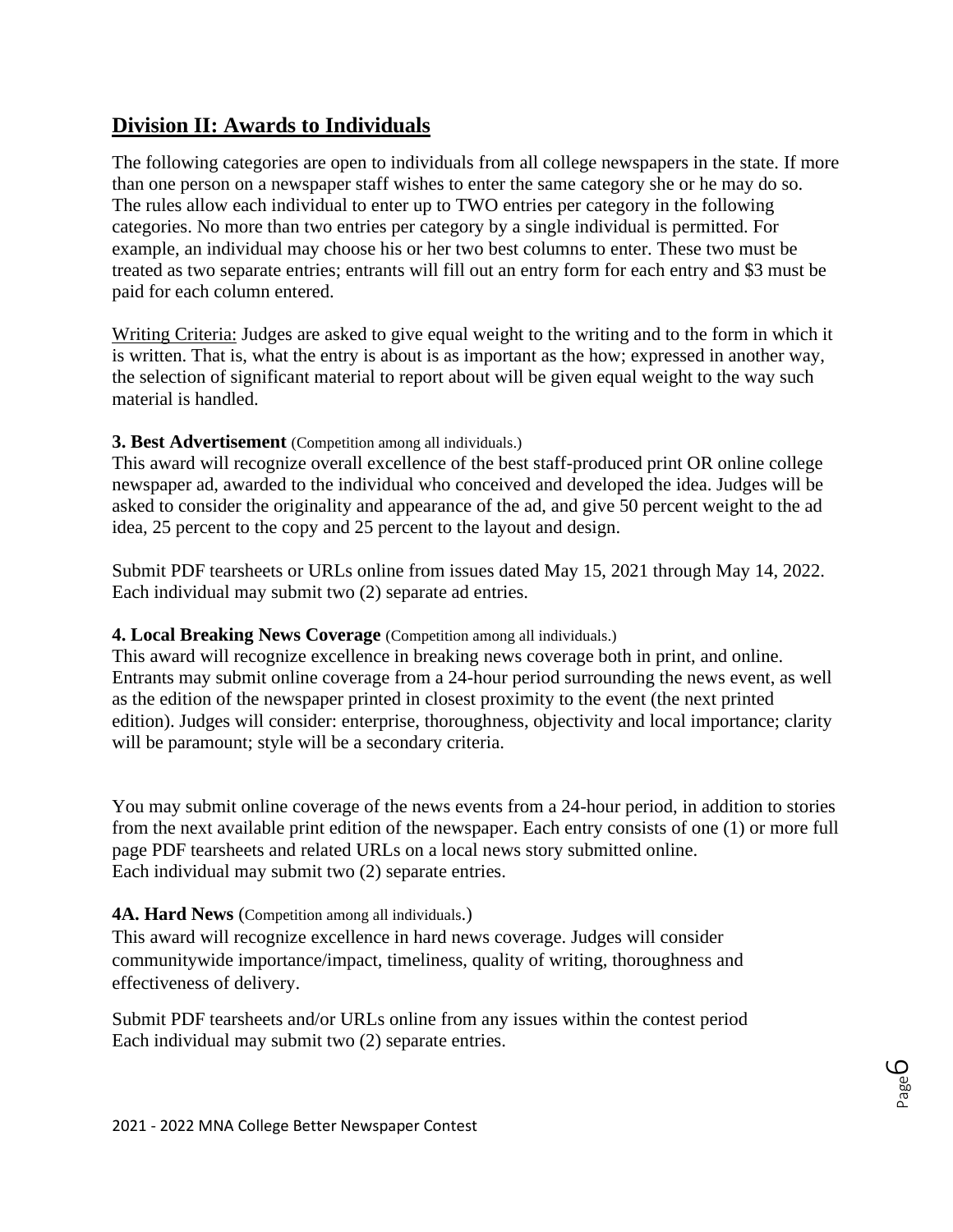## **Division II: Awards to Individuals**

The following categories are open to individuals from all college newspapers in the state. If more than one person on a newspaper staff wishes to enter the same category she or he may do so. The rules allow each individual to enter up to TWO entries per category in the following categories. No more than two entries per category by a single individual is permitted. For example, an individual may choose his or her two best columns to enter. These two must be treated as two separate entries; entrants will fill out an entry form for each entry and \$3 must be paid for each column entered.

Writing Criteria: Judges are asked to give equal weight to the writing and to the form in which it is written. That is, what the entry is about is as important as the how; expressed in another way, the selection of significant material to report about will be given equal weight to the way such material is handled.

## **3. Best Advertisement** (Competition among all individuals.)

This award will recognize overall excellence of the best staff-produced print OR online college newspaper ad, awarded to the individual who conceived and developed the idea. Judges will be asked to consider the originality and appearance of the ad, and give 50 percent weight to the ad idea, 25 percent to the copy and 25 percent to the layout and design.

Submit PDF tearsheets or URLs online from issues dated May 15, 2021 through May 14, 2022. Each individual may submit two (2) separate ad entries.

#### **4. Local Breaking News Coverage** (Competition among all individuals.)

This award will recognize excellence in breaking news coverage both in print, and online. Entrants may submit online coverage from a 24-hour period surrounding the news event, as well as the edition of the newspaper printed in closest proximity to the event (the next printed edition). Judges will consider: enterprise, thoroughness, objectivity and local importance; clarity will be paramount; style will be a secondary criteria.

You may submit online coverage of the news events from a 24-hour period, in addition to stories from the next available print edition of the newspaper. Each entry consists of one (1) or more full page PDF tearsheets and related URLs on a local news story submitted online. Each individual may submit two (2) separate entries.

#### 4A. Hard News (Competition among all individuals.)

This award will recognize excellence in hard news coverage. Judges will consider communitywide importance/impact, timeliness, quality of writing, thoroughness and effectiveness of delivery.

Submit PDF tearsheets and/or URLs online from any issues within the contest period Each individual may submit two (2) separate entries.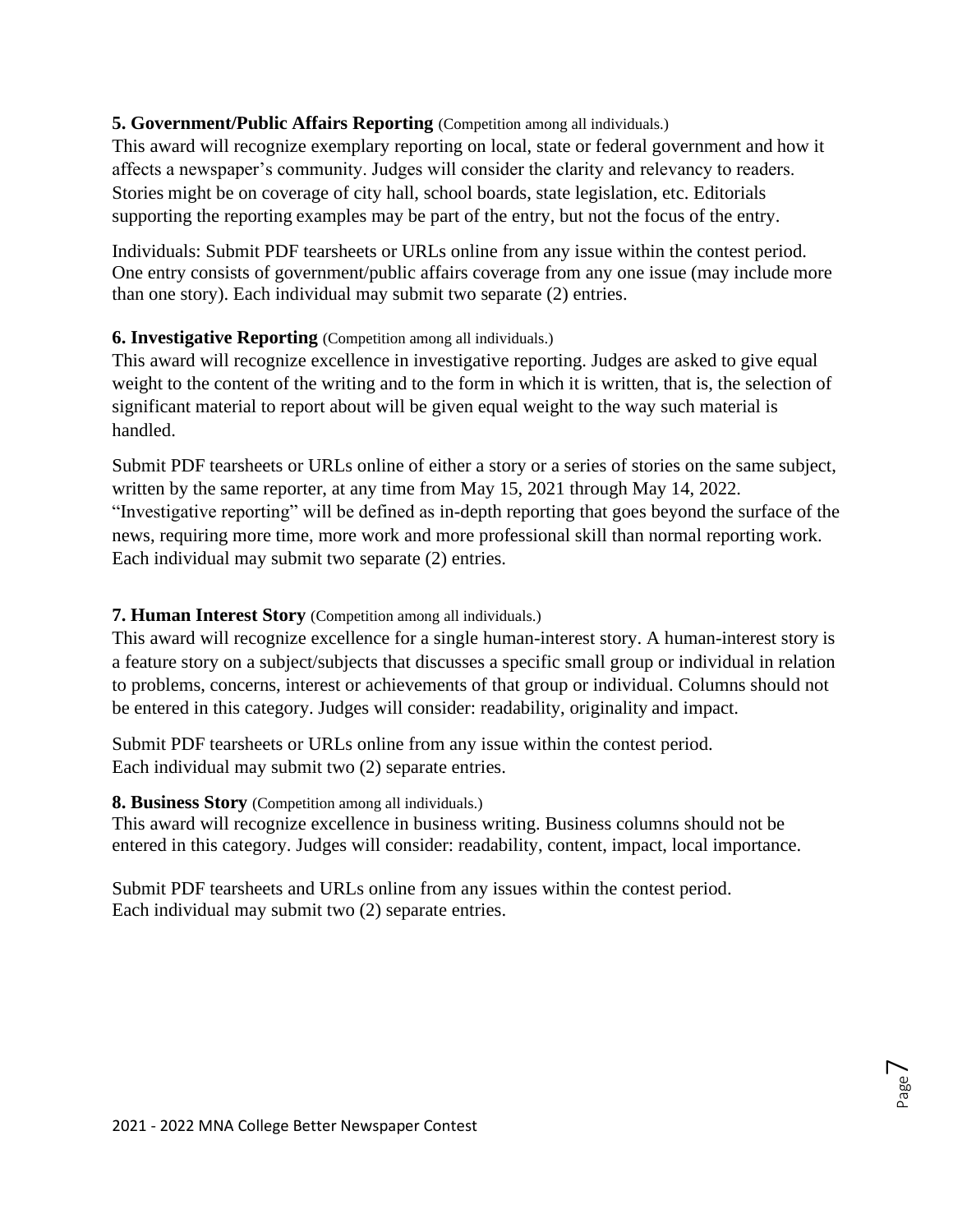## **5. Government/Public Affairs Reporting** (Competition among all individuals.)

This award will recognize exemplary reporting on local, state or federal government and how it affects a newspaper's community. Judges will consider the clarity and relevancy to readers. Stories might be on coverage of city hall, school boards, state legislation, etc. Editorials supporting the reporting examples may be part of the entry, but not the focus of the entry.

Individuals: Submit PDF tearsheets or URLs online from any issue within the contest period. One entry consists of government/public affairs coverage from any one issue (may include more than one story). Each individual may submit two separate (2) entries.

## **6. Investigative Reporting** (Competition among all individuals.)

This award will recognize excellence in investigative reporting. Judges are asked to give equal weight to the content of the writing and to the form in which it is written, that is, the selection of significant material to report about will be given equal weight to the way such material is handled.

Submit PDF tearsheets or URLs online of either a story or a series of stories on the same subject, written by the same reporter, at any time from May 15, 2021 through May 14, 2022. "Investigative reporting" will be defined as in-depth reporting that goes beyond the surface of the news, requiring more time, more work and more professional skill than normal reporting work. Each individual may submit two separate (2) entries.

## **7. Human Interest Story** (Competition among all individuals.)

This award will recognize excellence for a single human-interest story. A human-interest story is a feature story on a subject/subjects that discusses a specific small group or individual in relation to problems, concerns, interest or achievements of that group or individual. Columns should not be entered in this category. Judges will consider: readability, originality and impact.

Submit PDF tearsheets or URLs online from any issue within the contest period. Each individual may submit two (2) separate entries.

## **8. Business Story** (Competition among all individuals.)

This award will recognize excellence in business writing. Business columns should not be entered in this category. Judges will consider: readability, content, impact, local importance.

Submit PDF tearsheets and URLs online from any issues within the contest period. Each individual may submit two (2) separate entries.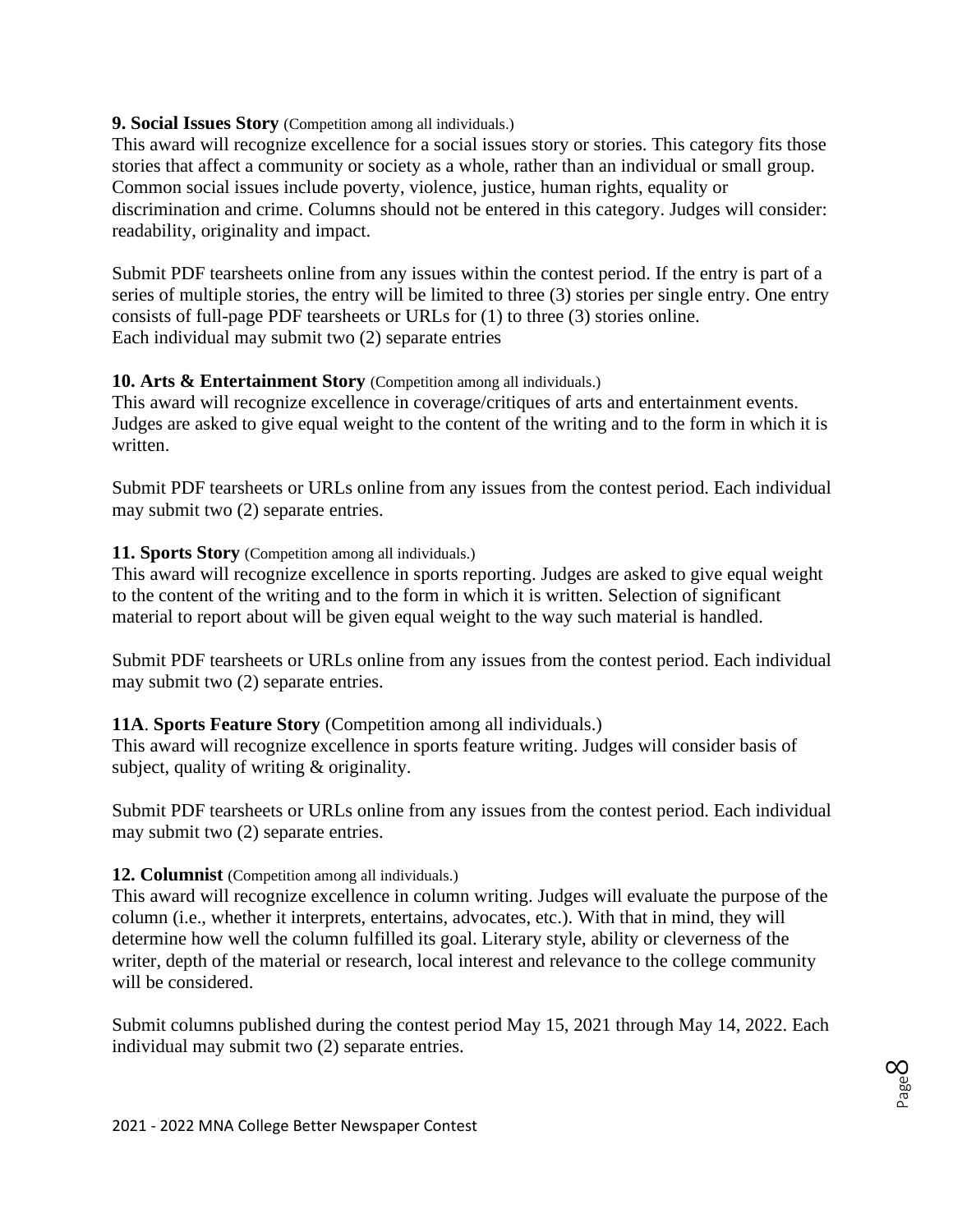#### **9. Social Issues Story** (Competition among all individuals.)

This award will recognize excellence for a social issues story or stories. This category fits those stories that affect a community or society as a whole, rather than an individual or small group. Common social issues include poverty, violence, justice, human rights, equality or discrimination and crime. Columns should not be entered in this category. Judges will consider: readability, originality and impact.

Submit PDF tearsheets online from any issues within the contest period. If the entry is part of a series of multiple stories, the entry will be limited to three (3) stories per single entry. One entry consists of full-page PDF tearsheets or URLs for (1) to three (3) stories online. Each individual may submit two (2) separate entries

## **10. Arts & Entertainment Story** (Competition among all individuals.)

This award will recognize excellence in coverage/critiques of arts and entertainment events. Judges are asked to give equal weight to the content of the writing and to the form in which it is written.

Submit PDF tearsheets or URLs online from any issues from the contest period. Each individual may submit two (2) separate entries.

#### **11. Sports Story** (Competition among all individuals.)

This award will recognize excellence in sports reporting. Judges are asked to give equal weight to the content of the writing and to the form in which it is written. Selection of significant material to report about will be given equal weight to the way such material is handled.

Submit PDF tearsheets or URLs online from any issues from the contest period. Each individual may submit two (2) separate entries.

#### **11A**. **Sports Feature Story** (Competition among all individuals.)

This award will recognize excellence in sports feature writing. Judges will consider basis of subject, quality of writing & originality.

Submit PDF tearsheets or URLs online from any issues from the contest period. Each individual may submit two (2) separate entries.

#### **12. Columnist** (Competition among all individuals.)

This award will recognize excellence in column writing. Judges will evaluate the purpose of the column (i.e., whether it interprets, entertains, advocates, etc.). With that in mind, they will determine how well the column fulfilled its goal. Literary style, ability or cleverness of the writer, depth of the material or research, local interest and relevance to the college community will be considered.

Submit columns published during the contest period May 15, 2021 through May 14, 2022. Each individual may submit two (2) separate entries.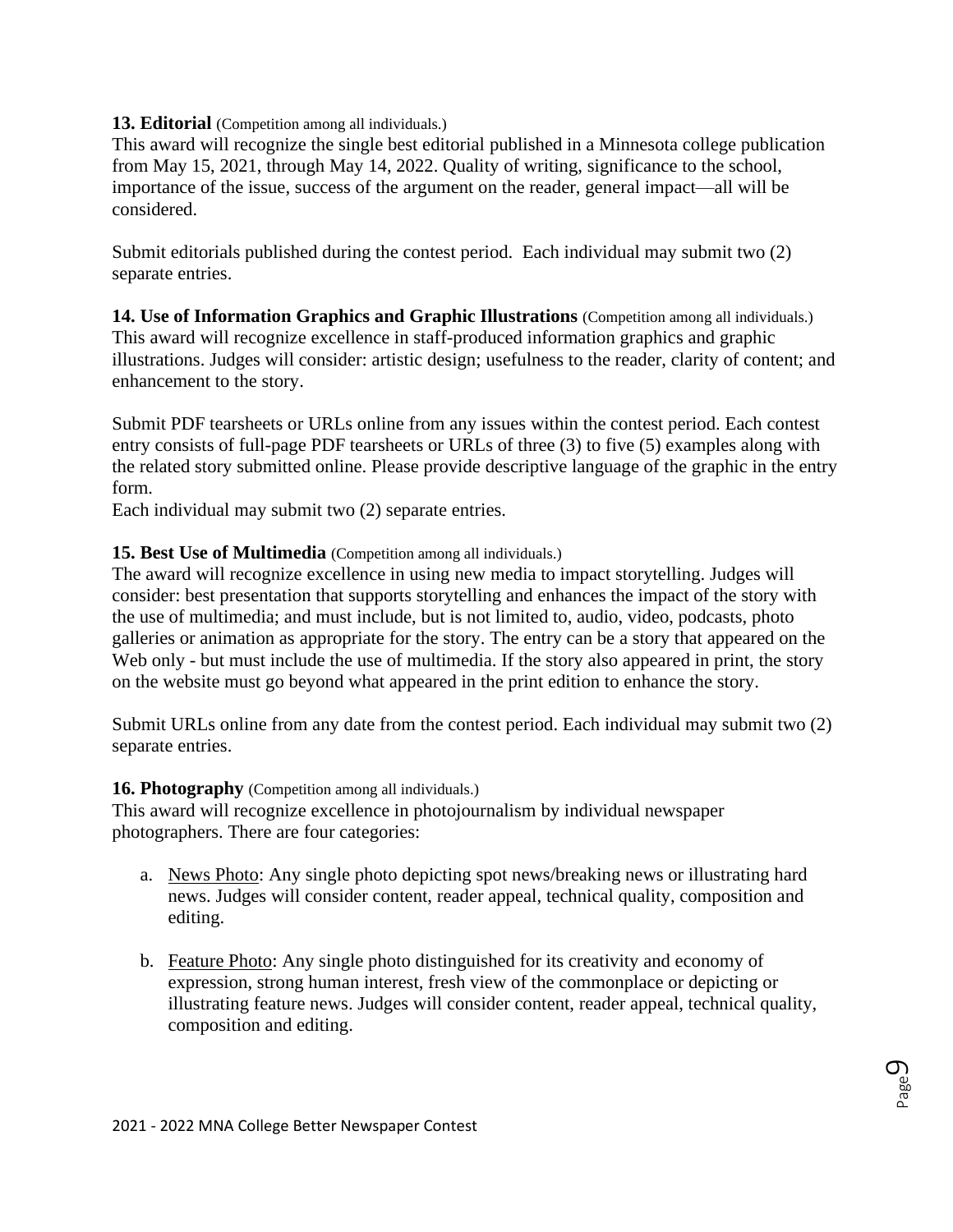### **13. Editorial** (Competition among all individuals.)

This award will recognize the single best editorial published in a Minnesota college publication from May 15, 2021, through May 14, 2022. Quality of writing, significance to the school, importance of the issue, success of the argument on the reader, general impact—all will be considered.

Submit editorials published during the contest period. Each individual may submit two (2) separate entries.

**14. Use of Information Graphics and Graphic Illustrations** (Competition among all individuals.) This award will recognize excellence in staff-produced information graphics and graphic illustrations. Judges will consider: artistic design; usefulness to the reader, clarity of content; and enhancement to the story.

Submit PDF tearsheets or URLs online from any issues within the contest period. Each contest entry consists of full-page PDF tearsheets or URLs of three (3) to five (5) examples along with the related story submitted online. Please provide descriptive language of the graphic in the entry form.

Each individual may submit two (2) separate entries.

### **15. Best Use of Multimedia** (Competition among all individuals.)

The award will recognize excellence in using new media to impact storytelling. Judges will consider: best presentation that supports storytelling and enhances the impact of the story with the use of multimedia; and must include, but is not limited to, audio, video, podcasts, photo galleries or animation as appropriate for the story. The entry can be a story that appeared on the Web only - but must include the use of multimedia. If the story also appeared in print, the story on the website must go beyond what appeared in the print edition to enhance the story.

Submit URLs online from any date from the contest period. Each individual may submit two (2) separate entries.

#### **16. Photography** (Competition among all individuals.)

This award will recognize excellence in photojournalism by individual newspaper photographers. There are four categories:

- a. News Photo: Any single photo depicting spot news/breaking news or illustrating hard news. Judges will consider content, reader appeal, technical quality, composition and editing.
- b. Feature Photo: Any single photo distinguished for its creativity and economy of expression, strong human interest, fresh view of the commonplace or depicting or illustrating feature news. Judges will consider content, reader appeal, technical quality, composition and editing.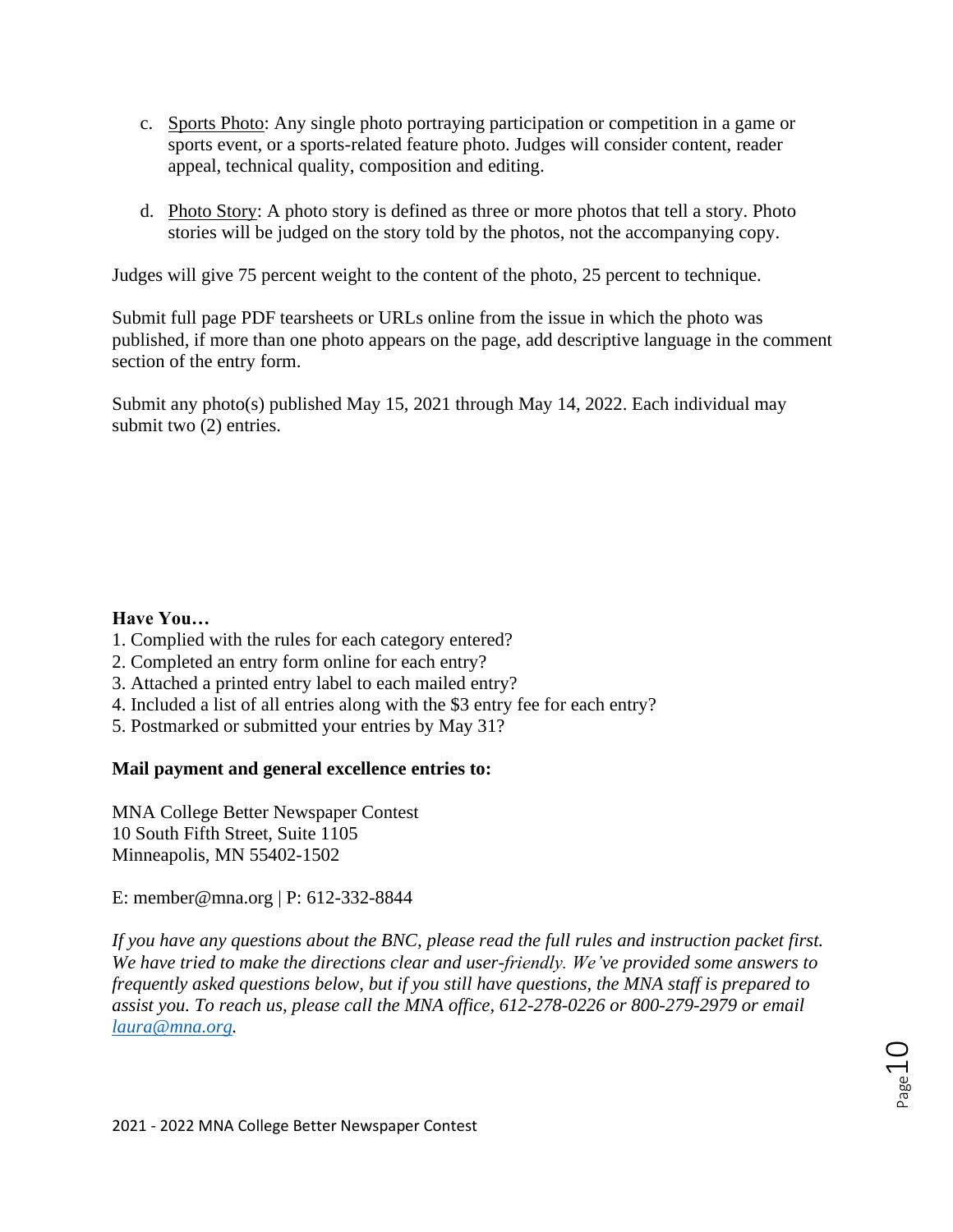- c. Sports Photo: Any single photo portraying participation or competition in a game or sports event, or a sports-related feature photo. Judges will consider content, reader appeal, technical quality, composition and editing.
- d. Photo Story: A photo story is defined as three or more photos that tell a story. Photo stories will be judged on the story told by the photos, not the accompanying copy.

Judges will give 75 percent weight to the content of the photo, 25 percent to technique.

Submit full page PDF tearsheets or URLs online from the issue in which the photo was published, if more than one photo appears on the page, add descriptive language in the comment section of the entry form.

Submit any photo(s) published May 15, 2021 through May 14, 2022. Each individual may submit two (2) entries.

#### **Have You…**

- 1. Complied with the rules for each category entered?
- 2. Completed an entry form online for each entry?
- 3. Attached a printed entry label to each mailed entry?
- 4. Included a list of all entries along with the \$3 entry fee for each entry?
- 5. Postmarked or submitted your entries by May 31?

## **Mail payment and general excellence entries to:**

MNA College Better Newspaper Contest 10 South Fifth Street, Suite 1105 Minneapolis, MN 55402-1502

E: member@mna.org | P: 612-332-8844

*If you have any questions about the BNC, please read the full rules and instruction packet first. We have tried to make the directions clear and user-friendly. We've provided some answers to frequently asked questions below, but if you still have questions, the MNA staff is prepared to assist you. To reach us, please call the MNA office, 612-278-0226 or 800-279-2979 or email [laura@mna.org.](mailto:laura@mna.org)*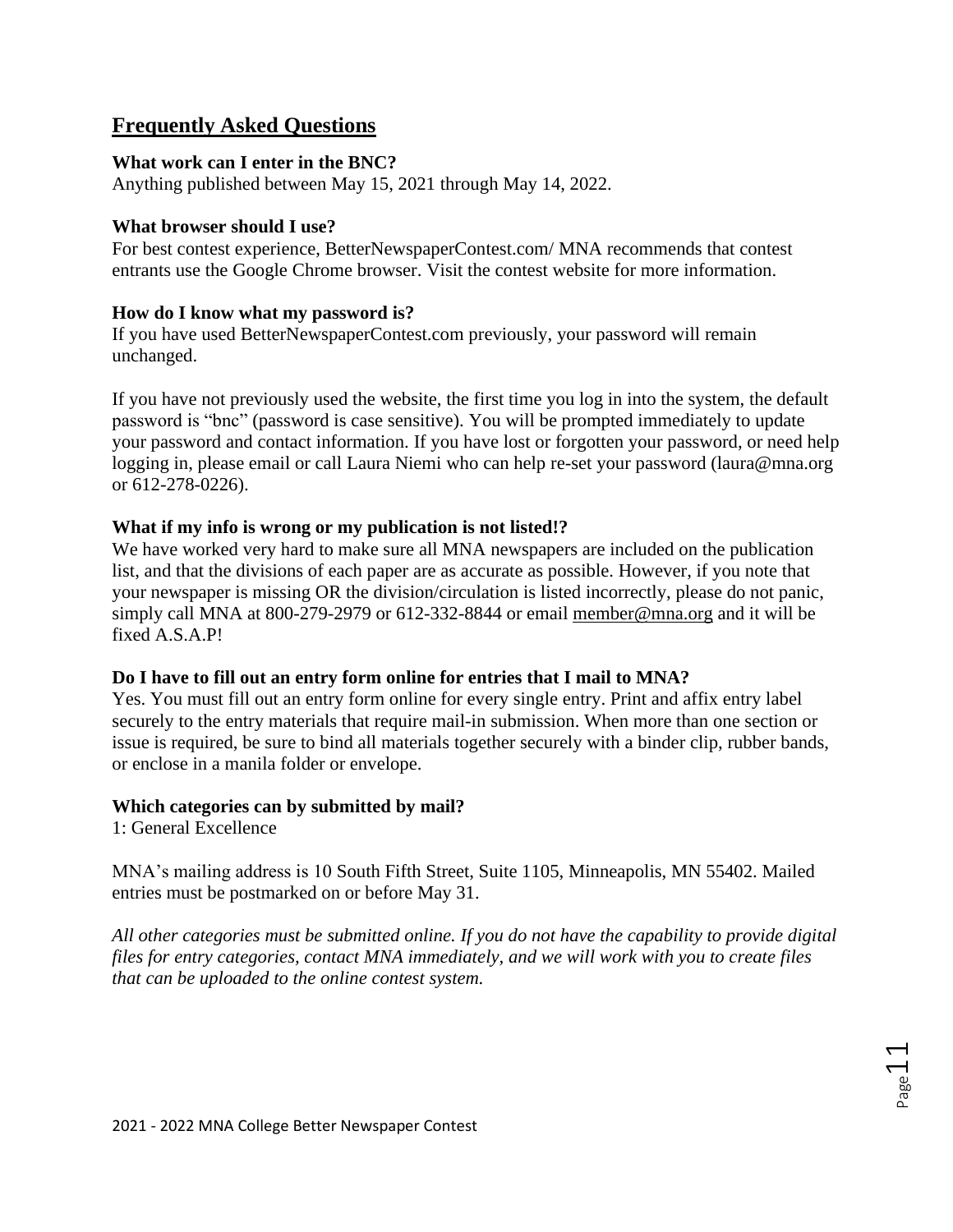## **Frequently Asked Questions**

#### **What work can I enter in the BNC?**

Anything published between May 15, 2021 through May 14, 2022.

### **What browser should I use?**

For best contest experience, BetterNewspaperContest.com/ MNA recommends that contest entrants use the Google Chrome browser. Visit the contest website for more information.

### **How do I know what my password is?**

If you have used BetterNewspaperContest.com previously, your password will remain unchanged.

If you have not previously used the website, the first time you log in into the system, the default password is "bnc" (password is case sensitive). You will be prompted immediately to update your password and contact information. If you have lost or forgotten your password, or need help logging in, please email or call Laura Niemi who can help re-set your password (laura@mna.org or 612-278-0226).

### **What if my info is wrong or my publication is not listed!?**

We have worked very hard to make sure all MNA newspapers are included on the publication list, and that the divisions of each paper are as accurate as possible. However, if you note that your newspaper is missing OR the division/circulation is listed incorrectly, please do not panic, simply call MNA at 800-279-2979 or 612-332-8844 or email [member@mna.org](mailto:member@mna.org) and it will be fixed A.S.A.P!

## **Do I have to fill out an entry form online for entries that I mail to MNA?**

Yes. You must fill out an entry form online for every single entry. Print and affix entry label securely to the entry materials that require mail-in submission. When more than one section or issue is required, be sure to bind all materials together securely with a binder clip, rubber bands, or enclose in a manila folder or envelope.

#### **Which categories can by submitted by mail?**

1: General Excellence

MNA's mailing address is 10 South Fifth Street, Suite 1105, Minneapolis, MN 55402. Mailed entries must be postmarked on or before May 31.

*All other categories must be submitted online. If you do not have the capability to provide digital files for entry categories, contact MNA immediately, and we will work with you to create files that can be uploaded to the online contest system.*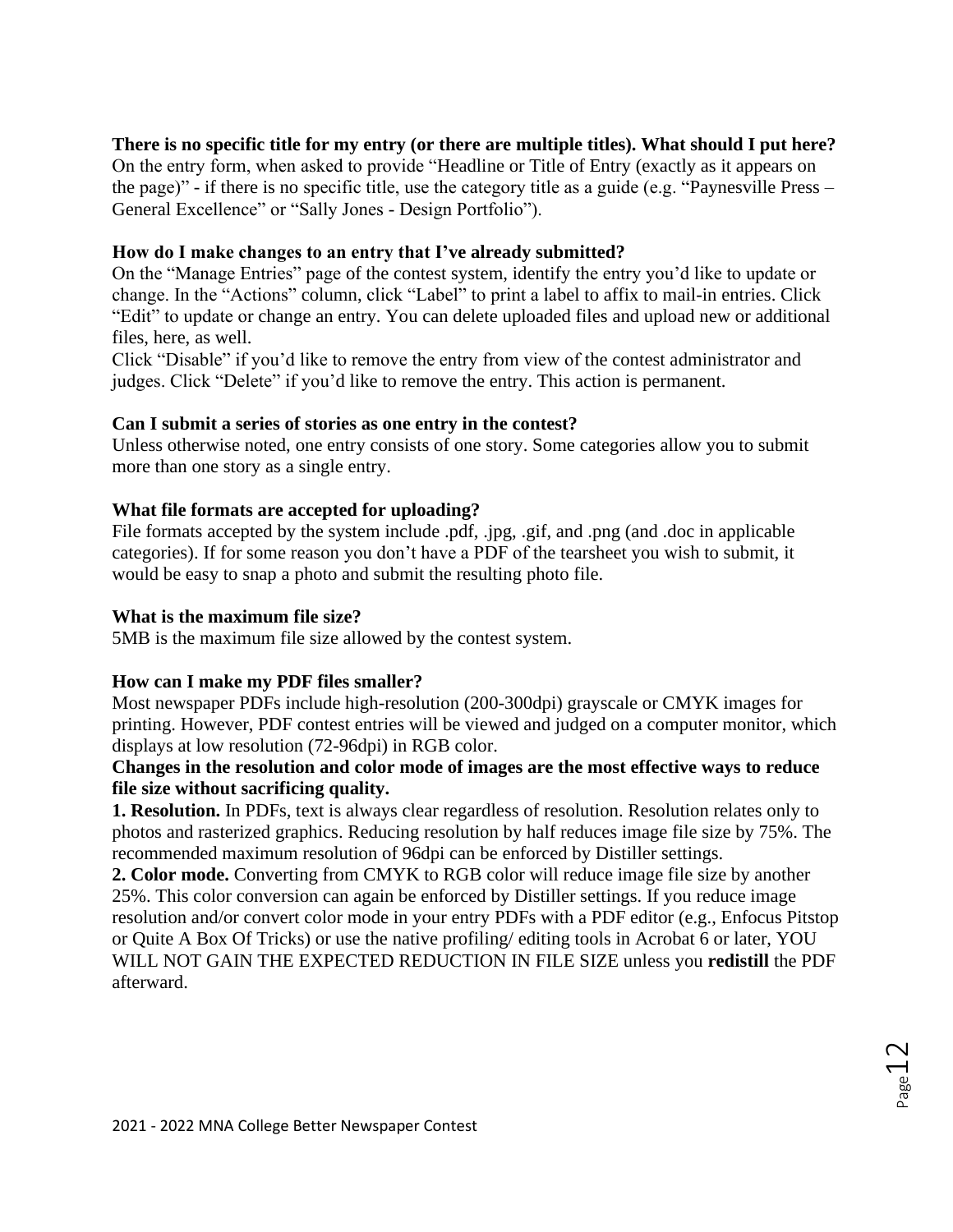### **There is no specific title for my entry (or there are multiple titles). What should I put here?**

On the entry form, when asked to provide "Headline or Title of Entry (exactly as it appears on the page)" - if there is no specific title, use the category title as a guide (e.g. "Paynesville Press – General Excellence" or "Sally Jones - Design Portfolio").

### **How do I make changes to an entry that I've already submitted?**

On the "Manage Entries" page of the contest system, identify the entry you'd like to update or change. In the "Actions" column, click "Label" to print a label to affix to mail-in entries. Click "Edit" to update or change an entry. You can delete uploaded files and upload new or additional files, here, as well.

Click "Disable" if you'd like to remove the entry from view of the contest administrator and judges. Click "Delete" if you'd like to remove the entry. This action is permanent.

#### **Can I submit a series of stories as one entry in the contest?**

Unless otherwise noted, one entry consists of one story. Some categories allow you to submit more than one story as a single entry.

### **What file formats are accepted for uploading?**

File formats accepted by the system include .pdf, .jpg, .gif, and .png (and .doc in applicable categories). If for some reason you don't have a PDF of the tearsheet you wish to submit, it would be easy to snap a photo and submit the resulting photo file.

#### **What is the maximum file size?**

5MB is the maximum file size allowed by the contest system.

#### **How can I make my PDF files smaller?**

Most newspaper PDFs include high-resolution (200-300dpi) grayscale or CMYK images for printing. However, PDF contest entries will be viewed and judged on a computer monitor, which displays at low resolution (72-96dpi) in RGB color.

#### **Changes in the resolution and color mode of images are the most effective ways to reduce file size without sacrificing quality.**

**1. Resolution.** In PDFs, text is always clear regardless of resolution. Resolution relates only to photos and rasterized graphics. Reducing resolution by half reduces image file size by 75%. The recommended maximum resolution of 96dpi can be enforced by Distiller settings.

**2. Color mode.** Converting from CMYK to RGB color will reduce image file size by another 25%. This color conversion can again be enforced by Distiller settings. If you reduce image resolution and/or convert color mode in your entry PDFs with a PDF editor (e.g., Enfocus Pitstop or Quite A Box Of Tricks) or use the native profiling/ editing tools in Acrobat 6 or later, YOU WILL NOT GAIN THE EXPECTED REDUCTION IN FILE SIZE unless you **redistill** the PDF afterward.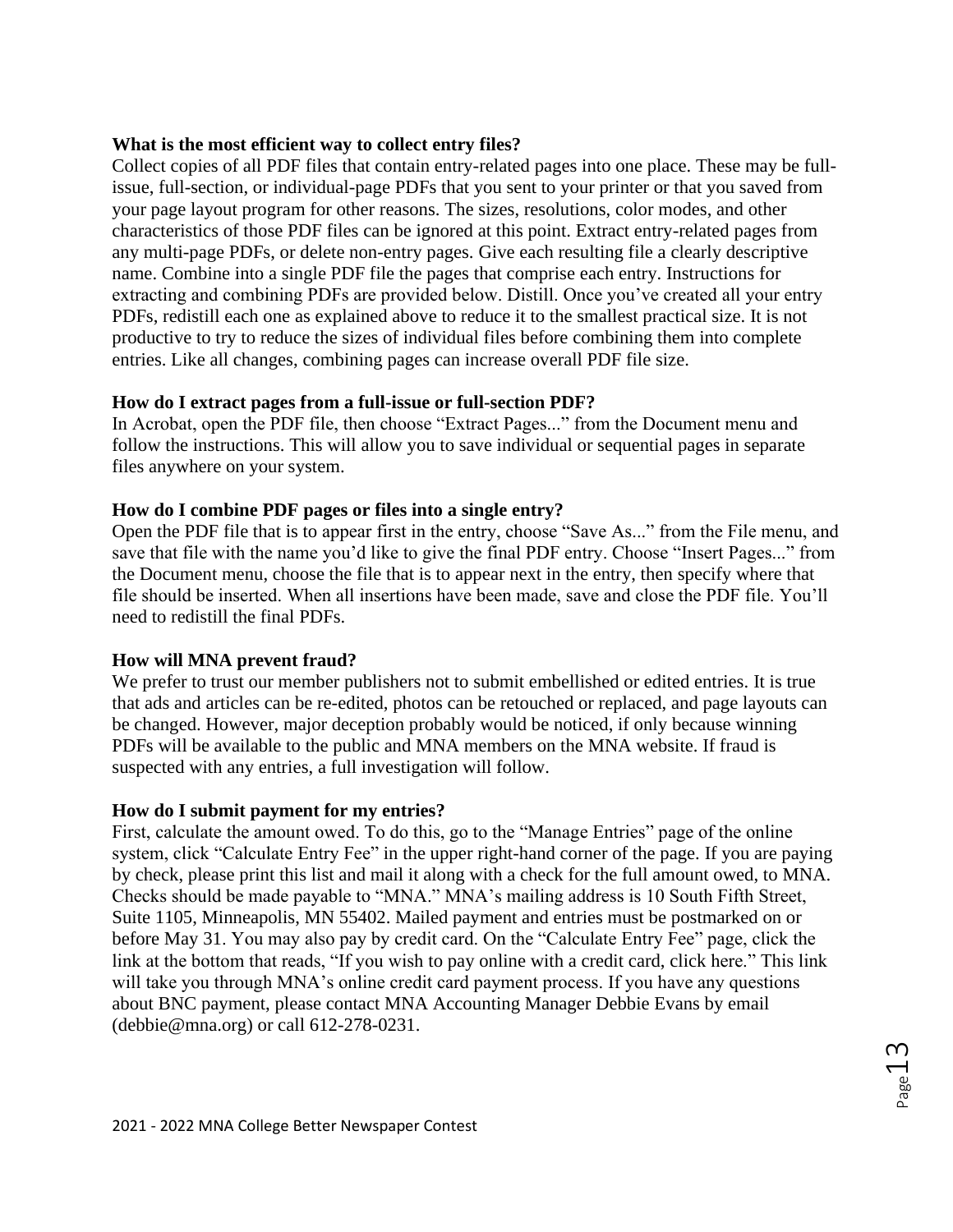### **What is the most efficient way to collect entry files?**

Collect copies of all PDF files that contain entry-related pages into one place. These may be fullissue, full-section, or individual-page PDFs that you sent to your printer or that you saved from your page layout program for other reasons. The sizes, resolutions, color modes, and other characteristics of those PDF files can be ignored at this point. Extract entry-related pages from any multi-page PDFs, or delete non-entry pages. Give each resulting file a clearly descriptive name. Combine into a single PDF file the pages that comprise each entry. Instructions for extracting and combining PDFs are provided below. Distill. Once you've created all your entry PDFs, redistill each one as explained above to reduce it to the smallest practical size. It is not productive to try to reduce the sizes of individual files before combining them into complete entries. Like all changes, combining pages can increase overall PDF file size.

## **How do I extract pages from a full-issue or full-section PDF?**

In Acrobat, open the PDF file, then choose "Extract Pages..." from the Document menu and follow the instructions. This will allow you to save individual or sequential pages in separate files anywhere on your system.

#### **How do I combine PDF pages or files into a single entry?**

Open the PDF file that is to appear first in the entry, choose "Save As..." from the File menu, and save that file with the name you'd like to give the final PDF entry. Choose "Insert Pages..." from the Document menu, choose the file that is to appear next in the entry, then specify where that file should be inserted. When all insertions have been made, save and close the PDF file. You'll need to redistill the final PDFs.

#### **How will MNA prevent fraud?**

We prefer to trust our member publishers not to submit embellished or edited entries. It is true that ads and articles can be re-edited, photos can be retouched or replaced, and page layouts can be changed. However, major deception probably would be noticed, if only because winning PDFs will be available to the public and MNA members on the MNA website. If fraud is suspected with any entries, a full investigation will follow.

#### **How do I submit payment for my entries?**

First, calculate the amount owed. To do this, go to the "Manage Entries" page of the online system, click "Calculate Entry Fee" in the upper right-hand corner of the page. If you are paying by check, please print this list and mail it along with a check for the full amount owed, to MNA. Checks should be made payable to "MNA." MNA's mailing address is 10 South Fifth Street, Suite 1105, Minneapolis, MN 55402. Mailed payment and entries must be postmarked on or before May 31. You may also pay by credit card. On the "Calculate Entry Fee" page, click the link at the bottom that reads, "If you wish to pay online with a credit card, click here." This link will take you through MNA's online credit card payment process. If you have any questions about BNC payment, please contact MNA Accounting Manager Debbie Evans by email (debbie@mna.org) or call 612-278-0231.